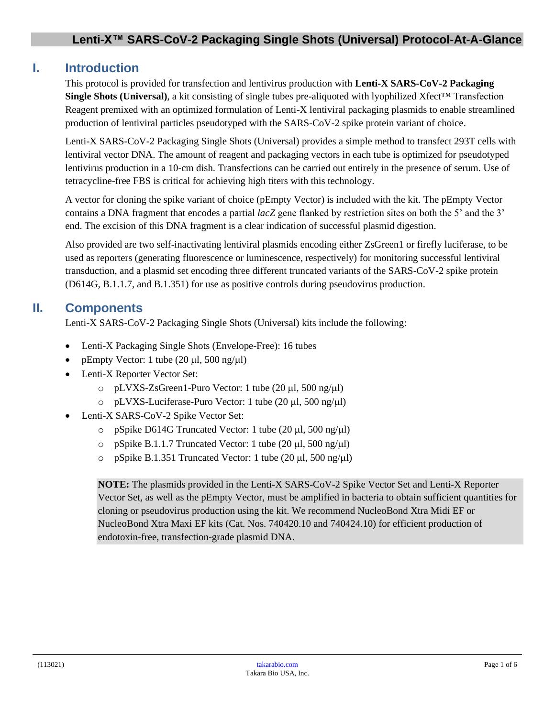# **I. Introduction**

This protocol is provided for transfection and lentivirus production with **Lenti-X SARS-CoV-2 Packaging Single Shots (Universal)**, a kit consisting of single tubes pre-aliquoted with lyophilized Xfect™ Transfection Reagent premixed with an optimized formulation of Lenti-X lentiviral packaging plasmids to enable streamlined production of lentiviral particles pseudotyped with the SARS-CoV-2 spike protein variant of choice.

Lenti-X SARS-CoV-2 Packaging Single Shots (Universal) provides a simple method to transfect 293T cells with lentiviral vector DNA. The amount of reagent and packaging vectors in each tube is optimized for pseudotyped lentivirus production in a 10-cm dish. Transfections can be carried out entirely in the presence of serum. Use of tetracycline-free FBS is critical for achieving high titers with this technology.

A vector for cloning the spike variant of choice (pEmpty Vector) is included with the kit. The pEmpty Vector contains a DNA fragment that encodes a partial *lacZ* gene flanked by restriction sites on both the 5' and the 3' end. The excision of this DNA fragment is a clear indication of successful plasmid digestion.

Also provided are two self-inactivating lentiviral plasmids encoding either ZsGreen1 or firefly luciferase, to be used as reporters (generating fluorescence or luminescence, respectively) for monitoring successful lentiviral transduction, and a plasmid set encoding three different truncated variants of the SARS-CoV-2 spike protein (D614G, B.1.1.7, and B.1.351) for use as positive controls during pseudovirus production.

# **II. Components**

Lenti-X SARS-CoV-2 Packaging Single Shots (Universal) kits include the following:

- Lenti-X Packaging Single Shots (Envelope-Free): 16 tubes
- pEmpty Vector: 1 tube  $(20 \mu l, 500 \text{ ng/}\mu l)$
- Lenti-X Reporter Vector Set:
	- $\circ$  pLVXS-ZsGreen1-Puro Vector: 1 tube (20 µl, 500 ng/µl)
	- $\circ$  pLVXS-Luciferase-Puro Vector: 1 tube (20 µl, 500 ng/µl)
- Lenti-X SARS-CoV-2 Spike Vector Set:
	- o pSpike D614G Truncated Vector: 1 tube  $(20 \mu l, 500 \text{ ng}/\mu l)$
	- $\circ$  pSpike B.1.1.7 Truncated Vector: 1 tube (20 µl, 500 ng/µl)
	- o pSpike B.1.351 Truncated Vector: 1 tube (20  $\mu$ l, 500 ng/ $\mu$ l)

**NOTE:** The plasmids provided in the Lenti-X SARS-CoV-2 Spike Vector Set and Lenti-X Reporter Vector Set, as well as the pEmpty Vector, must be amplified in bacteria to obtain sufficient quantities for cloning or pseudovirus production using the kit. We recommend NucleoBond Xtra Midi EF or NucleoBond Xtra Maxi EF kits (Cat. Nos. 740420.10 and 740424.10) for efficient production of endotoxin-free, transfection-grade plasmid DNA.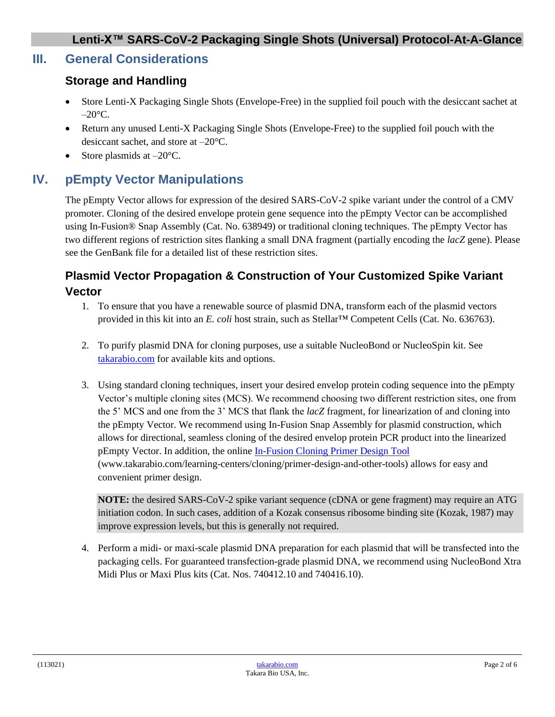# **III. General Considerations**

### **Storage and Handling**

- Store Lenti-X Packaging Single Shots (Envelope-Free) in the supplied foil pouch with the desiccant sachet at  $-20$ °C.
- Return any unused Lenti-X Packaging Single Shots (Envelope-Free) to the supplied foil pouch with the desiccant sachet, and store at –20°C.
- Store plasmids at  $-20^{\circ}$ C.

# **IV. pEmpty Vector Manipulations**

The pEmpty Vector allows for expression of the desired SARS-CoV-2 spike variant under the control of a CMV promoter. Cloning of the desired envelope protein gene sequence into the pEmpty Vector can be accomplished using In-Fusion® Snap Assembly (Cat. No. 638949) or traditional cloning techniques. The pEmpty Vector has two different regions of restriction sites flanking a small DNA fragment (partially encoding the *lacZ* gene). Please see the GenBank file for a detailed list of these restriction sites.

# **Plasmid Vector Propagation & Construction of Your Customized Spike Variant Vector**

- 1. To ensure that you have a renewable source of plasmid DNA, transform each of the plasmid vectors provided in this kit into an *E. coli* host strain, such as Stellar™ Competent Cells (Cat. No. 636763).
- 2. To purify plasmid DNA for cloning purposes, use a suitable NucleoBond or NucleoSpin kit. See [takarabio.com](http://www.takarabio.com/) for available kits and options.
- 3. Using standard cloning techniques, insert your desired envelop protein coding sequence into the pEmpty Vector's multiple cloning sites (MCS). We recommend choosing two different restriction sites, one from the 5' MCS and one from the 3' MCS that flank the *lacZ* fragment, for linearization of and cloning into the pEmpty Vector. We recommend using In-Fusion Snap Assembly for plasmid construction, which allows for directional, seamless cloning of the desired envelop protein PCR product into the linearized pEmpty Vector. In addition, the online [In-Fusion Cloning Primer Design Tool](http://www.takarabio.com/learning-centers/cloning/primer-design-and-other-tools) (www.takarabio.com/learning-centers/cloning/primer-design-and-other-tools) allows for easy and convenient primer design.

**NOTE:** the desired SARS-CoV-2 spike variant sequence (cDNA or gene fragment) may require an ATG initiation codon. In such cases, addition of a Kozak consensus ribosome binding site (Kozak, 1987) may improve expression levels, but this is generally not required.

4. Perform a midi- or maxi-scale plasmid DNA preparation for each plasmid that will be transfected into the packaging cells. For guaranteed transfection-grade plasmid DNA, we recommend using NucleoBond Xtra Midi Plus or Maxi Plus kits (Cat. Nos. 740412.10 and 740416.10).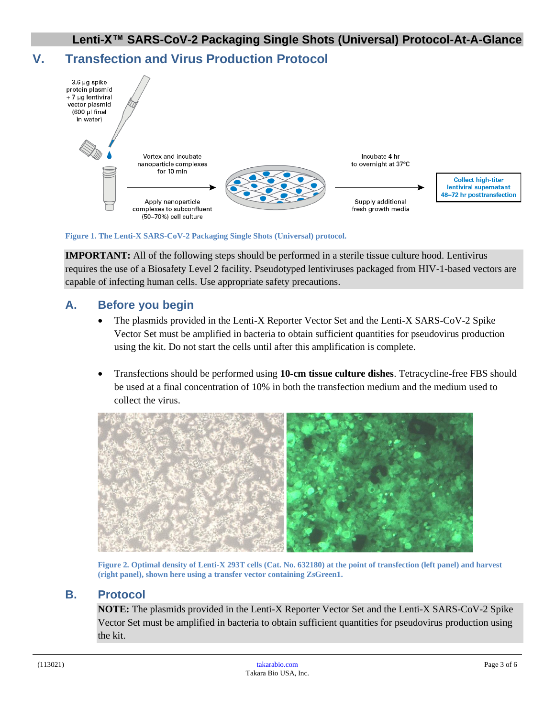# **V. Transfection and Virus Production Protocol**



**Figure 1. The Lenti-X SARS-CoV-2 Packaging Single Shots (Universal) protocol.**

**IMPORTANT:** All of the following steps should be performed in a sterile tissue culture hood. Lentivirus requires the use of a Biosafety Level 2 facility. Pseudotyped lentiviruses packaged from HIV-1-based vectors are capable of infecting human cells. Use appropriate safety precautions.

### **A. Before you begin**

- The plasmids provided in the Lenti-X Reporter Vector Set and the Lenti-X SARS-CoV-2 Spike Vector Set must be amplified in bacteria to obtain sufficient quantities for pseudovirus production using the kit. Do not start the cells until after this amplification is complete.
- Transfections should be performed using **10-cm tissue culture dishes**. Tetracycline-free FBS should be used at a final concentration of 10% in both the transfection medium and the medium used to collect the virus.



**Figure 2. Optimal density of Lenti-X 293T cells (Cat. No. 632180) at the point of transfection (left panel) and harvest (right panel), shown here using a transfer vector containing ZsGreen1.**

#### **B. Protocol**

**NOTE:** The plasmids provided in the Lenti-X Reporter Vector Set and the Lenti-X SARS-CoV-2 Spike Vector Set must be amplified in bacteria to obtain sufficient quantities for pseudovirus production using the kit.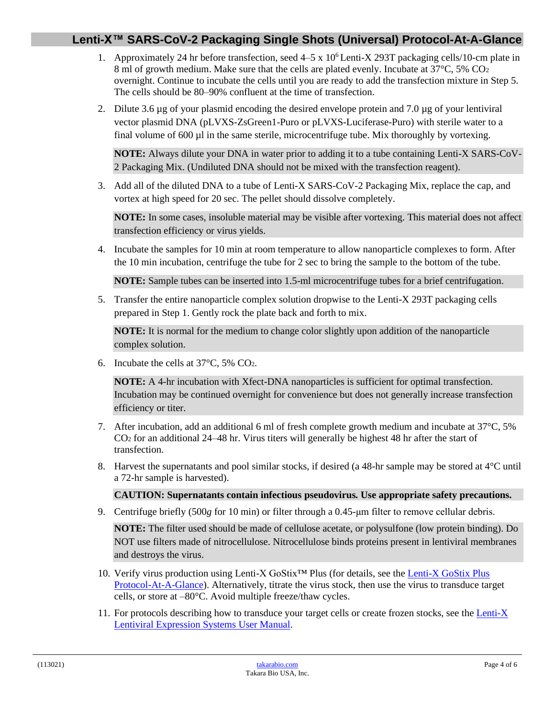### **Lenti-X™ SARS-CoV-2 Packaging Single Shots (Universal) Protocol-At-A-Glance**

- 1. Approximately 24 hr before transfection, seed 4–5 x 10<sup>6</sup> Lenti-X 293T packaging cells/10-cm plate in 8 ml of growth medium. Make sure that the cells are plated evenly. Incubate at 37°C, 5% CO<sup>2</sup> overnight. Continue to incubate the cells until you are ready to add the transfection mixture in Step 5. The cells should be 80–90% confluent at the time of transfection.
- 2. Dilute 3.6  $\mu$ g of your plasmid encoding the desired envelope protein and 7.0  $\mu$ g of your lentiviral vector plasmid DNA (pLVXS-ZsGreen1-Puro or pLVXS-Luciferase-Puro) with sterile water to a final volume of 600 µl in the same sterile, microcentrifuge tube. Mix thoroughly by vortexing.

**NOTE:** Always dilute your DNA in water prior to adding it to a tube containing Lenti-X SARS-CoV-2 Packaging Mix. (Undiluted DNA should not be mixed with the transfection reagent).

3. Add all of the diluted DNA to a tube of Lenti-X SARS-CoV-2 Packaging Mix, replace the cap, and vortex at high speed for 20 sec. The pellet should dissolve completely.

**NOTE:** In some cases, insoluble material may be visible after vortexing. This material does not affect transfection efficiency or virus yields.

4. Incubate the samples for 10 min at room temperature to allow nanoparticle complexes to form. After the 10 min incubation, centrifuge the tube for 2 sec to bring the sample to the bottom of the tube.

**NOTE:** Sample tubes can be inserted into 1.5-ml microcentrifuge tubes for a brief centrifugation.

5. Transfer the entire nanoparticle complex solution dropwise to the Lenti-X 293T packaging cells prepared in Step 1. Gently rock the plate back and forth to mix.

**NOTE:** It is normal for the medium to change color slightly upon addition of the nanoparticle complex solution.

6. Incubate the cells at 37°C, 5% CO2.

**NOTE:** A 4-hr incubation with Xfect-DNA nanoparticles is sufficient for optimal transfection. Incubation may be continued overnight for convenience but does not generally increase transfection efficiency or titer.

- 7. After incubation, add an additional 6 ml of fresh complete growth medium and incubate at 37°C, 5% CO<sup>2</sup> for an additional 24–48 hr. Virus titers will generally be highest 48 hr after the start of transfection.
- 8. Harvest the supernatants and pool similar stocks, if desired (a 48-hr sample may be stored at 4°C until a 72-hr sample is harvested).

#### **CAUTION: Supernatants contain infectious pseudovirus***.* **Use appropriate safety precautions.**

9. Centrifuge briefly (500*g* for 10 min) or filter through a 0.45-μm filter to remove cellular debris.

**NOTE:** The filter used should be made of cellulose acetate, or polysulfone (low protein binding). Do NOT use filters made of nitrocellulose. Nitrocellulose binds proteins present in lentiviral membranes and destroys the virus.

- 10. Verify virus production using Lenti-X GoStix™ Plus (for details, see th[e Lenti-X GoStix Plus](http://www.takarabio.com/resourcedocument/x98514)  [Protocol-At-A-Glance\)](http://www.takarabio.com/resourcedocument/x98514). Alternatively, titrate the virus stock, then use the virus to transduce target cells, or store at –80°C. Avoid multiple freeze/thaw cycles.
- 11. For protocols describing how to transduce your target cells or create frozen stocks, see th[e Lenti-X](http://www.takarabio.com/resourcedocument/x32774)  [Lentiviral Expression Systems User Manual.](http://www.takarabio.com/resourcedocument/x32774)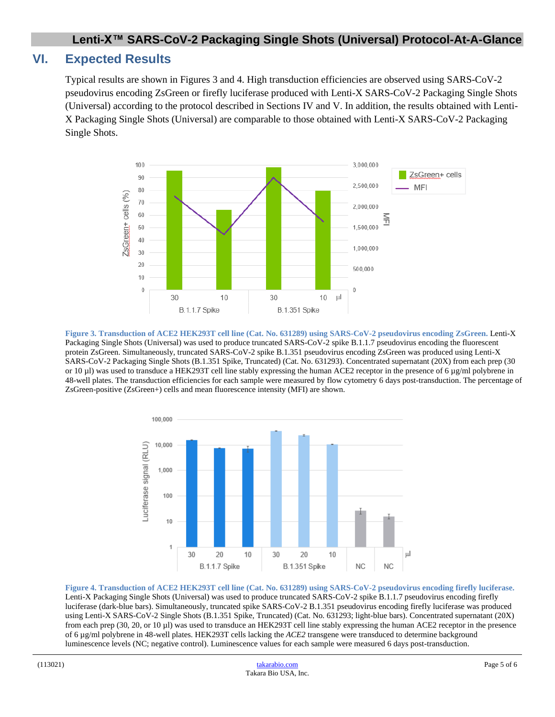### **Lenti-X™ SARS-CoV-2 Packaging Single Shots (Universal) Protocol-At-A-Glance**

### **VI. Expected Results**

Typical results are shown in Figures 3 and 4. High transduction efficiencies are observed using SARS-CoV-2 pseudovirus encoding ZsGreen or firefly luciferase produced with Lenti-X SARS-CoV-2 Packaging Single Shots (Universal) according to the protocol described in Sections IV and V. In addition, the results obtained with Lenti-X Packaging Single Shots (Universal) are comparable to those obtained with Lenti-X SARS-CoV-2 Packaging Single Shots.



**Figure 3. Transduction of ACE2 HEK293T cell line (Cat. No. 631289) using SARS-CoV-2 pseudovirus encoding ZsGreen.** Lenti-X Packaging Single Shots (Universal) was used to produce truncated SARS-CoV-2 spike B.1.1.7 pseudovirus encoding the fluorescent protein ZsGreen. Simultaneously, truncated SARS-CoV-2 spike B.1.351 pseudovirus encoding ZsGreen was produced using Lenti-X SARS-CoV-2 Packaging Single Shots (B.1.351 Spike, Truncated) (Cat. No. 631293). Concentrated supernatant (20X) from each prep (30 or 10  $\mu$ ) was used to transduce a HEK293T cell line stably expressing the human ACE2 receptor in the presence of 6  $\mu$ g/ml polybrene in 48-well plates. The transduction efficiencies for each sample were measured by flow cytometry 6 days post-transduction. The percentage of ZsGreen-positive (ZsGreen+) cells and mean fluorescence intensity (MFI) are shown.



**Figure 4. Transduction of ACE2 HEK293T cell line (Cat. No. 631289) using SARS-CoV-2 pseudovirus encoding firefly luciferase.** Lenti-X Packaging Single Shots (Universal) was used to produce truncated SARS-CoV-2 spike B.1.1.7 pseudovirus encoding firefly luciferase (dark-blue bars). Simultaneously, truncated spike SARS-CoV-2 B.1.351 pseudovirus encoding firefly luciferase was produced using Lenti-X SARS-CoV-2 Single Shots (B.1.351 Spike, Truncated) (Cat. No. 631293; light-blue bars). Concentrated supernatant (20X) from each prep (30, 20, or 10 µl) was used to transduce an HEK293T cell line stably expressing the human ACE2 receptor in the presence of 6 µg/ml polybrene in 48-well plates. HEK293T cells lacking the *ACE2* transgene were transduced to determine background luminescence levels (NC; negative control). Luminescence values for each sample were measured 6 days post-transduction.